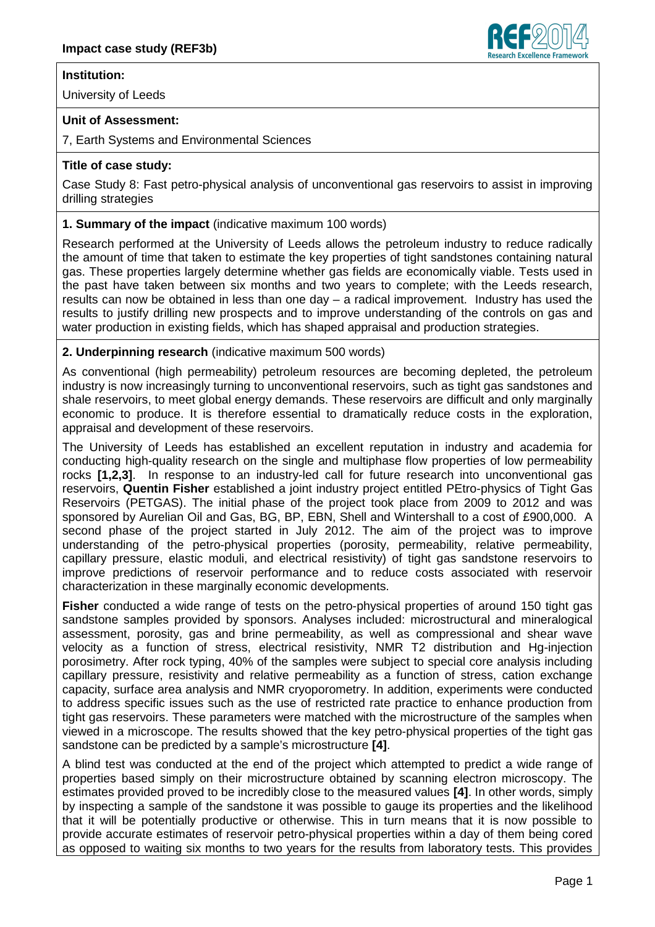# **Institution:**

University of Leeds

### **Unit of Assessment:**

7, Earth Systems and Environmental Sciences

# **Title of case study:**

Case Study 8: Fast petro-physical analysis of unconventional gas reservoirs to assist in improving drilling strategies

### **1. Summary of the impact** (indicative maximum 100 words)

Research performed at the University of Leeds allows the petroleum industry to reduce radically the amount of time that taken to estimate the key properties of tight sandstones containing natural gas. These properties largely determine whether gas fields are economically viable. Tests used in the past have taken between six months and two years to complete; with the Leeds research, results can now be obtained in less than one day – a radical improvement. Industry has used the results to justify drilling new prospects and to improve understanding of the controls on gas and water production in existing fields, which has shaped appraisal and production strategies.

#### **2. Underpinning research** (indicative maximum 500 words)

As conventional (high permeability) petroleum resources are becoming depleted, the petroleum industry is now increasingly turning to unconventional reservoirs, such as tight gas sandstones and shale reservoirs, to meet global energy demands. These reservoirs are difficult and only marginally economic to produce. It is therefore essential to dramatically reduce costs in the exploration, appraisal and development of these reservoirs.

The University of Leeds has established an excellent reputation in industry and academia for conducting high-quality research on the single and multiphase flow properties of low permeability rocks **[1,2,3]**. In response to an industry-led call for future research into unconventional gas reservoirs, **Quentin Fisher** established a joint industry project entitled PEtro-physics of Tight Gas Reservoirs (PETGAS). The initial phase of the project took place from 2009 to 2012 and was sponsored by Aurelian Oil and Gas, BG, BP, EBN, Shell and Wintershall to a cost of £900,000. A second phase of the project started in July 2012. The aim of the project was to improve understanding of the petro-physical properties (porosity, permeability, relative permeability, capillary pressure, elastic moduli, and electrical resistivity) of tight gas sandstone reservoirs to improve predictions of reservoir performance and to reduce costs associated with reservoir characterization in these marginally economic developments.

**Fisher** conducted a wide range of tests on the petro-physical properties of around 150 tight gas sandstone samples provided by sponsors. Analyses included: microstructural and mineralogical assessment, porosity, gas and brine permeability, as well as compressional and shear wave velocity as a function of stress, electrical resistivity, NMR T2 distribution and Hg-injection porosimetry. After rock typing, 40% of the samples were subject to special core analysis including capillary pressure, resistivity and relative permeability as a function of stress, cation exchange capacity, surface area analysis and NMR cryoporometry. In addition, experiments were conducted to address specific issues such as the use of restricted rate practice to enhance production from tight gas reservoirs. These parameters were matched with the microstructure of the samples when viewed in a microscope. The results showed that the key petro-physical properties of the tight gas sandstone can be predicted by a sample's microstructure **[4]**.

A blind test was conducted at the end of the project which attempted to predict a wide range of properties based simply on their microstructure obtained by scanning electron microscopy. The estimates provided proved to be incredibly close to the measured values **[4]**. In other words, simply by inspecting a sample of the sandstone it was possible to gauge its properties and the likelihood that it will be potentially productive or otherwise. This in turn means that it is now possible to provide accurate estimates of reservoir petro-physical properties within a day of them being cored as opposed to waiting six months to two years for the results from laboratory tests. This provides

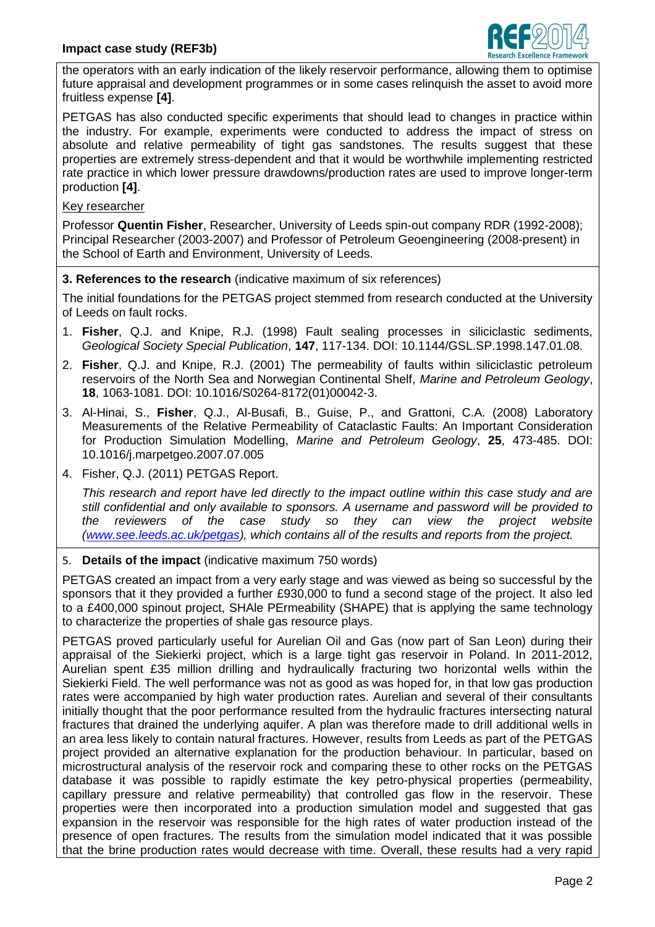

the operators with an early indication of the likely reservoir performance, allowing them to optimise future appraisal and development programmes or in some cases relinquish the asset to avoid more fruitless expense **[4]**.

PETGAS has also conducted specific experiments that should lead to changes in practice within the industry. For example, experiments were conducted to address the impact of stress on absolute and relative permeability of tight gas sandstones. The results suggest that these properties are extremely stress-dependent and that it would be worthwhile implementing restricted rate practice in which lower pressure drawdowns/production rates are used to improve longer-term production **[4]**.

# Key researcher

Professor **Quentin Fisher**, Researcher, University of Leeds spin-out company RDR (1992-2008); Principal Researcher (2003-2007) and Professor of Petroleum Geoengineering (2008-present) in the School of Earth and Environment, University of Leeds.

# **3. References to the research** (indicative maximum of six references)

The initial foundations for the PETGAS project stemmed from research conducted at the University of Leeds on fault rocks.

- 1. **Fisher**, Q.J. and Knipe, R.J. (1998) Fault sealing processes in siliciclastic sediments, *Geological Society Special Publication*, **147**, 117-134. DOI: 10.1144/GSL.SP.1998.147.01.08.
- 2. **Fisher**, Q.J. and Knipe, R.J. (2001) The permeability of faults within siliciclastic petroleum reservoirs of the North Sea and Norwegian Continental Shelf, *Marine and Petroleum Geology*, **18**, 1063-1081. DOI: 10.1016/S0264-8172(01)00042-3.
- 3. Al-Hinai, S., **Fisher**, Q.J., Al-Busafi, B., Guise, P., and Grattoni, C.A. (2008) Laboratory Measurements of the Relative Permeability of Cataclastic Faults: An Important Consideration for Production Simulation Modelling, *Marine and Petroleum Geology*, **25**, 473-485. DOI: 10.1016/j.marpetgeo.2007.07.005
- 4. Fisher, Q.J. (2011) PETGAS Report.

*This research and report have led directly to the impact outline within this case study and are still confidential and only available to sponsors. A username and password will be provided to the reviewers of the case study so they can view the project website (www.see.leeds.ac.uk/petgas), which contains all of the results and reports from the project.*

#### 5. **Details of the impact** (indicative maximum 750 words)

PETGAS created an impact from a very early stage and was viewed as being so successful by the sponsors that it they provided a further £930,000 to fund a second stage of the project. It also led to a £400,000 spinout project, SHAle PErmeability (SHAPE) that is applying the same technology to characterize the properties of shale gas resource plays.

PETGAS proved particularly useful for Aurelian Oil and Gas (now part of San Leon) during their appraisal of the Siekierki project, which is a large tight gas reservoir in Poland. In 2011-2012, Aurelian spent £35 million drilling and hydraulically fracturing two horizontal wells within the Siekierki Field. The well performance was not as good as was hoped for, in that low gas production rates were accompanied by high water production rates. Aurelian and several of their consultants initially thought that the poor performance resulted from the hydraulic fractures intersecting natural fractures that drained the underlying aquifer. A plan was therefore made to drill additional wells in an area less likely to contain natural fractures. However, results from Leeds as part of the PETGAS project provided an alternative explanation for the production behaviour. In particular, based on microstructural analysis of the reservoir rock and comparing these to other rocks on the PETGAS database it was possible to rapidly estimate the key petro-physical properties (permeability, capillary pressure and relative permeability) that controlled gas flow in the reservoir. These properties were then incorporated into a production simulation model and suggested that gas expansion in the reservoir was responsible for the high rates of water production instead of the presence of open fractures. The results from the simulation model indicated that it was possible that the brine production rates would decrease with time. Overall, these results had a very rapid